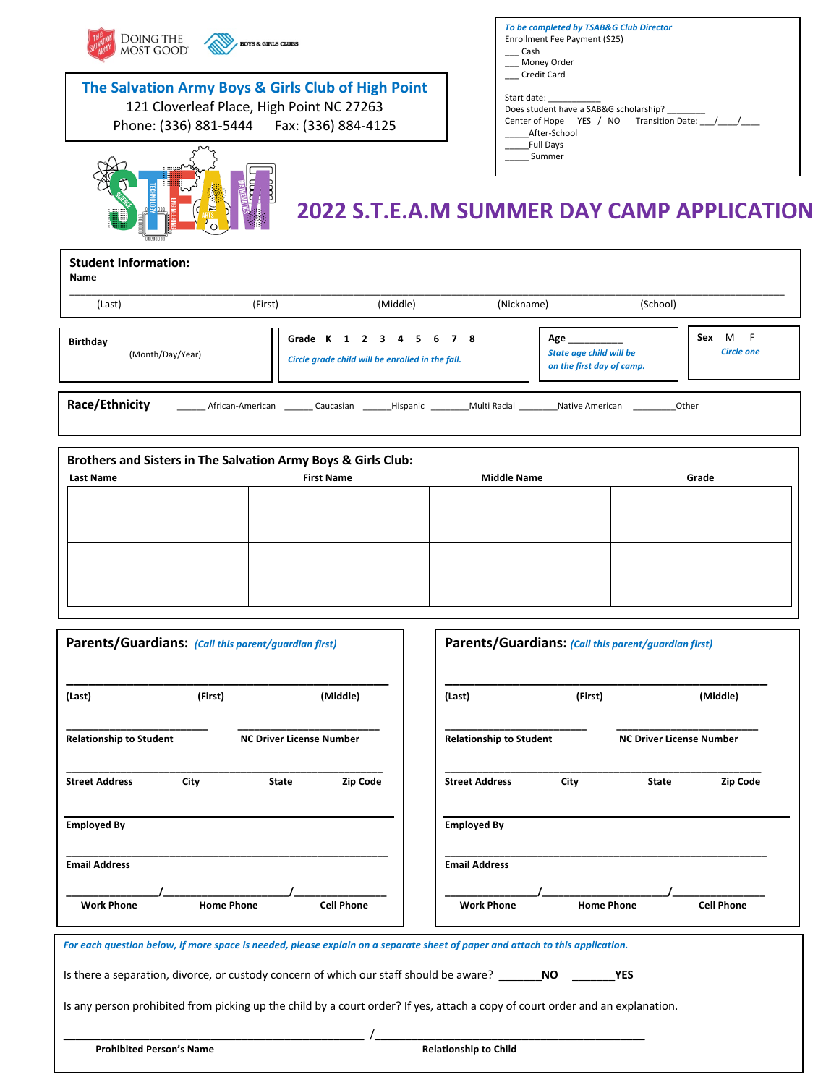| <b>DOING THE</b><br>MOST GOOD                                 | <b>BOYS &amp; GIRLS CLUBS</b>                                                                                                                  | To be completed by TSAB&G Club Director<br>Enrollment Fee Payment (\$25)<br><b>Cash</b><br>Money Order |                                                   |
|---------------------------------------------------------------|------------------------------------------------------------------------------------------------------------------------------------------------|--------------------------------------------------------------------------------------------------------|---------------------------------------------------|
|                                                               | The Salvation Army Boys & Girls Club of High Point<br>121 Cloverleaf Place, High Point NC 27263<br>Phone: (336) 881-5444   Fax: (336) 884-4125 | <b>Credit Card</b><br>Start date:<br>Does student have a SAB&G scholarship?<br>After-School            | Center of Hope YES / NO Transition Date: ////     |
|                                                               |                                                                                                                                                | <b>Full Days</b><br>Summer                                                                             | <b>2022 S.T.E.A.M SUMMER DAY CAMP APPLICATION</b> |
| <b>Student Information:</b><br>Name                           |                                                                                                                                                |                                                                                                        |                                                   |
| (Last)                                                        | (Middle)<br>(First)                                                                                                                            | (Nickname)                                                                                             | (School)                                          |
| Birthday_<br>(Month/Day/Year)                                 | Grade K 1 2 3 4 5 6 7 8<br>Circle grade child will be enrolled in the fall.                                                                    | Age<br><b>State age child will be</b><br>on the first day of camp.                                     | Sex M F<br><b>Circle one</b>                      |
| Race/Ethnicity                                                |                                                                                                                                                | African-American Caucasian Hispanic Multi Racial Native American                                       | Other                                             |
| Brothers and Sisters in The Salvation Army Boys & Girls Club: |                                                                                                                                                |                                                                                                        |                                                   |
| <b>Last Name</b>                                              | <b>First Name</b>                                                                                                                              | <b>Middle Name</b>                                                                                     | Grade                                             |
|                                                               |                                                                                                                                                |                                                                                                        |                                                   |

Г

┑

| (First)                        |                                 | (Middle)          | (Last)                                                                                  | (First)                      |                                                                                                                                                 | (Middle)                                                                                                                                                                                                                                                                                                                                                  |
|--------------------------------|---------------------------------|-------------------|-----------------------------------------------------------------------------------------|------------------------------|-------------------------------------------------------------------------------------------------------------------------------------------------|-----------------------------------------------------------------------------------------------------------------------------------------------------------------------------------------------------------------------------------------------------------------------------------------------------------------------------------------------------------|
| <b>Relationship to Student</b> |                                 |                   |                                                                                         |                              | <b>NC Driver License Number</b>                                                                                                                 |                                                                                                                                                                                                                                                                                                                                                           |
| City                           | <b>State</b>                    | <b>Zip Code</b>   | <b>Street Address</b>                                                                   | City                         | <b>State</b>                                                                                                                                    | <b>Zip Code</b>                                                                                                                                                                                                                                                                                                                                           |
|                                |                                 |                   | <b>Employed By</b>                                                                      |                              |                                                                                                                                                 |                                                                                                                                                                                                                                                                                                                                                           |
|                                |                                 |                   | <b>Email Address</b>                                                                    |                              |                                                                                                                                                 |                                                                                                                                                                                                                                                                                                                                                           |
|                                |                                 | <b>Cell Phone</b> | <b>Work Phone</b>                                                                       |                              |                                                                                                                                                 | <b>Cell Phone</b>                                                                                                                                                                                                                                                                                                                                         |
|                                |                                 |                   |                                                                                         |                              |                                                                                                                                                 |                                                                                                                                                                                                                                                                                                                                                           |
|                                |                                 |                   |                                                                                         |                              |                                                                                                                                                 |                                                                                                                                                                                                                                                                                                                                                           |
|                                |                                 |                   |                                                                                         |                              |                                                                                                                                                 |                                                                                                                                                                                                                                                                                                                                                           |
|                                |                                 |                   |                                                                                         |                              |                                                                                                                                                 |                                                                                                                                                                                                                                                                                                                                                           |
|                                | <b>Prohibited Person's Name</b> | <b>Home Phone</b> | Parents/Guardians: (Call this parent/guardian first)<br><b>NC Driver License Number</b> | <b>Relationship to Child</b> | <b>Relationship to Student</b><br>Is there a separation, divorce, or custody concern of which our staff should be aware? ______________________ | Parents/Guardians: (Call this parent/guardian first)<br><b>Home Phone</b><br>For each question below, if more space is needed, please explain on a separate sheet of paper and attach to this application.<br><b>YES</b><br>Is any person prohibited from picking up the child by a court order? If yes, attach a copy of court order and an explanation. |